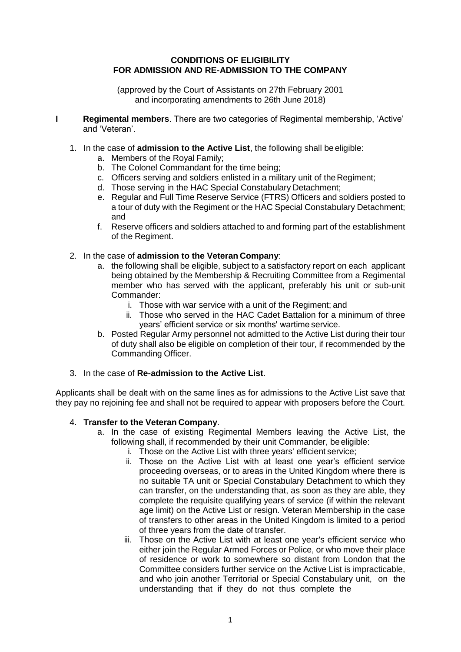## **CONDITIONS OF ELIGIBILITY FOR ADMISSION AND RE-ADMISSION TO THE COMPANY**

(approved by the Court of Assistants on 27th February 2001 and incorporating amendments to 26th June 2018)

- **I Regimental members**. There are two categories of Regimental membership, 'Active' and 'Veteran'.
	- 1. In the case of **admission to the Active List**, the following shall beeligible:
		- a. Members of the Royal Family;
		- b. The Colonel Commandant for the time being;
		- c. Officers serving and soldiers enlisted in a military unit of theRegiment;
		- d. Those serving in the HAC Special Constabulary Detachment;
		- e. Regular and Full Time Reserve Service (FTRS) Officers and soldiers posted to a tour of duty with the Regiment or the HAC Special Constabulary Detachment; and
		- f. Reserve officers and soldiers attached to and forming part of the establishment of the Regiment.
	- 2. In the case of **admission to the Veteran Company**:
		- a. the following shall be eligible, subject to a satisfactory report on each applicant being obtained by the Membership & Recruiting Committee from a Regimental member who has served with the applicant, preferably his unit or sub-unit Commander:
			- i. Those with war service with a unit of the Regiment; and
			- ii. Those who served in the HAC Cadet Battalion for a minimum of three years' efficient service or six months' wartime service.
		- b. Posted Regular Army personnel not admitted to the Active List during their tour of duty shall also be eligible on completion of their tour, if recommended by the Commanding Officer.
	- 3. In the case of **Re-admission to the Active List**.

Applicants shall be dealt with on the same lines as for admissions to the Active List save that they pay no rejoining fee and shall not be required to appear with proposers before the Court.

# 4. **Transfer to the Veteran Company**.

- a. In the case of existing Regimental Members leaving the Active List, the following shall, if recommended by their unit Commander, be eligible:
	- i. Those on the Active List with three years' efficient service;
	- ii. Those on the Active List with at least one year's efficient service proceeding overseas, or to areas in the United Kingdom where there is no suitable TA unit or Special Constabulary Detachment to which they can transfer, on the understanding that, as soon as they are able, they complete the requisite qualifying years of service (if within the relevant age limit) on the Active List or resign. Veteran Membership in the case of transfers to other areas in the United Kingdom is limited to a period of three years from the date of transfer.
	- iii. Those on the Active List with at least one year's efficient service who either join the Regular Armed Forces or Police, or who move their place of residence or work to somewhere so distant from London that the Committee considers further service on the Active List is impracticable, and who join another Territorial or Special Constabulary unit, on the understanding that if they do not thus complete the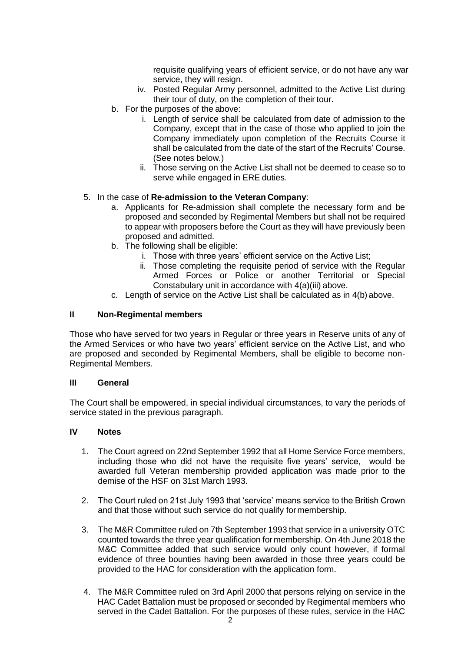requisite qualifying years of efficient service, or do not have any war service, they will resign.

- iv. Posted Regular Army personnel, admitted to the Active List during their tour of duty, on the completion of their tour.
- b. For the purposes of the above:
	- i. Length of service shall be calculated from date of admission to the Company, except that in the case of those who applied to join the Company immediately upon completion of the Recruits Course it shall be calculated from the date of the start of the Recruits' Course. (See notes below.)
	- ii. Those serving on the Active List shall not be deemed to cease so to serve while engaged in ERE duties.

# 5. In the case of **Re-admission to the Veteran Company**:

- a. Applicants for Re-admission shall complete the necessary form and be proposed and seconded by Regimental Members but shall not be required to appear with proposers before the Court as they will have previously been proposed and admitted.
- b. The following shall be eligible:
	- i. Those with three years' efficient service on the Active List;
	- ii. Those completing the requisite period of service with the Regular Armed Forces or Police or another Territorial or Special Constabulary unit in accordance with 4(a)(iii) above.
- c. Length of service on the Active List shall be calculated as in 4(b) above.

# **II Non-Regimental members**

Those who have served for two years in Regular or three years in Reserve units of any of the Armed Services or who have two years' efficient service on the Active List, and who are proposed and seconded by Regimental Members, shall be eligible to become non-Regimental Members.

### **III General**

The Court shall be empowered, in special individual circumstances, to vary the periods of service stated in the previous paragraph.

#### **IV Notes**

- 1. The Court agreed on 22nd September 1992 that all Home Service Force members, including those who did not have the requisite five years' service, would be awarded full Veteran membership provided application was made prior to the demise of the HSF on 31st March 1993.
- 2. The Court ruled on 21st July 1993 that 'service' means service to the British Crown and that those without such service do not qualify for membership.
- 3. The M&R Committee ruled on 7th September 1993 that service in a university OTC counted towards the three year qualification for membership. On 4th June 2018 the M&C Committee added that such service would only count however, if formal evidence of three bounties having been awarded in those three years could be provided to the HAC for consideration with the application form.
- 4. The M&R Committee ruled on 3rd April 2000 that persons relying on service in the HAC Cadet Battalion must be proposed or seconded by Regimental members who served in the Cadet Battalion. For the purposes of these rules, service in the HAC